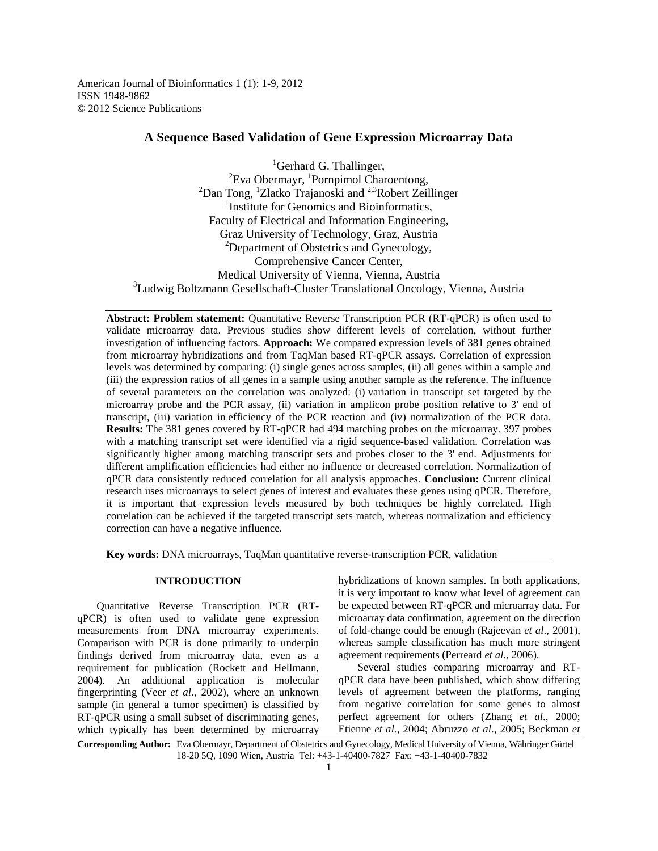American Journal of Bioinformatics 1 (1): 1-9, 2012 ISSN 1948-9862 © 2012 Science Publications

# **A Sequence Based Validation of Gene Expression Microarray Data**

 ${}^{1}$ Gerhard G. Thallinger,  ${}^{2}$ Eva Obermayr, <sup>1</sup>Pornpimol Charoentong,  $2$ Dan Tong,  $1$ Zlatko Trajanoski and  $2.3$ Robert Zeillinger <sup>1</sup>Institute for Genomics and Bioinformatics, Faculty of Electrical and Information Engineering, Graz University of Technology, Graz, Austria  ${}^{2}$ Department of Obstetrics and Gynecology, Comprehensive Cancer Center, Medical University of Vienna, Vienna, Austria <sup>3</sup>Ludwig Boltzmann Gesellschaft-Cluster Translational Oncology, Vienna, Austria

**Abstract: Problem statement:** Quantitative Reverse Transcription PCR (RT-qPCR) is often used to validate microarray data. Previous studies show different levels of correlation, without further investigation of influencing factors. **Approach:** We compared expression levels of 381 genes obtained from microarray hybridizations and from TaqMan based RT-qPCR assays. Correlation of expression levels was determined by comparing: (i) single genes across samples, (ii) all genes within a sample and (iii) the expression ratios of all genes in a sample using another sample as the reference. The influence of several parameters on the correlation was analyzed: (i) variation in transcript set targeted by the microarray probe and the PCR assay, (ii) variation in amplicon probe position relative to 3' end of transcript, (iii) variation in efficiency of the PCR reaction and (iv) normalization of the PCR data. **Results:** The 381 genes covered by RT-qPCR had 494 matching probes on the microarray. 397 probes with a matching transcript set were identified via a rigid sequence-based validation. Correlation was significantly higher among matching transcript sets and probes closer to the 3' end. Adjustments for different amplification efficiencies had either no influence or decreased correlation. Normalization of qPCR data consistently reduced correlation for all analysis approaches. **Conclusion:** Current clinical research uses microarrays to select genes of interest and evaluates these genes using qPCR. Therefore, it is important that expression levels measured by both techniques be highly correlated. High correlation can be achieved if the targeted transcript sets match, whereas normalization and efficiency correction can have a negative influence.

**Key words:** DNA microarrays, TaqMan quantitative reverse-transcription PCR, validation

## **INTRODUCTION**

 Quantitative Reverse Transcription PCR (RTqPCR) is often used to validate gene expression measurements from DNA microarray experiments. Comparison with PCR is done primarily to underpin findings derived from microarray data, even as a requirement for publication (Rockett and Hellmann, 2004). An additional application is molecular fingerprinting (Veer *et al*., 2002), where an unknown sample (in general a tumor specimen) is classified by RT-qPCR using a small subset of discriminating genes, which typically has been determined by microarray

hybridizations of known samples. In both applications, it is very important to know what level of agreement can be expected between RT-qPCR and microarray data. For microarray data confirmation, agreement on the direction of fold-change could be enough (Rajeevan *et al*., 2001), whereas sample classification has much more stringent agreement requirements (Perreard *et al*., 2006).

 Several studies comparing microarray and RTqPCR data have been published, which show differing levels of agreement between the platforms, ranging from negative correlation for some genes to almost perfect agreement for others (Zhang *et al*., 2000; Etienne *et al*., 2004; Abruzzo *et al*., 2005; Beckman *et* 

**Corresponding Author:** Eva Obermayr, Department of Obstetrics and Gynecology, Medical University of Vienna, Währinger Gürtel 18-20 5Q, 1090 Wien, Austria Tel: +43-1-40400-7827 Fax: +43-1-40400-7832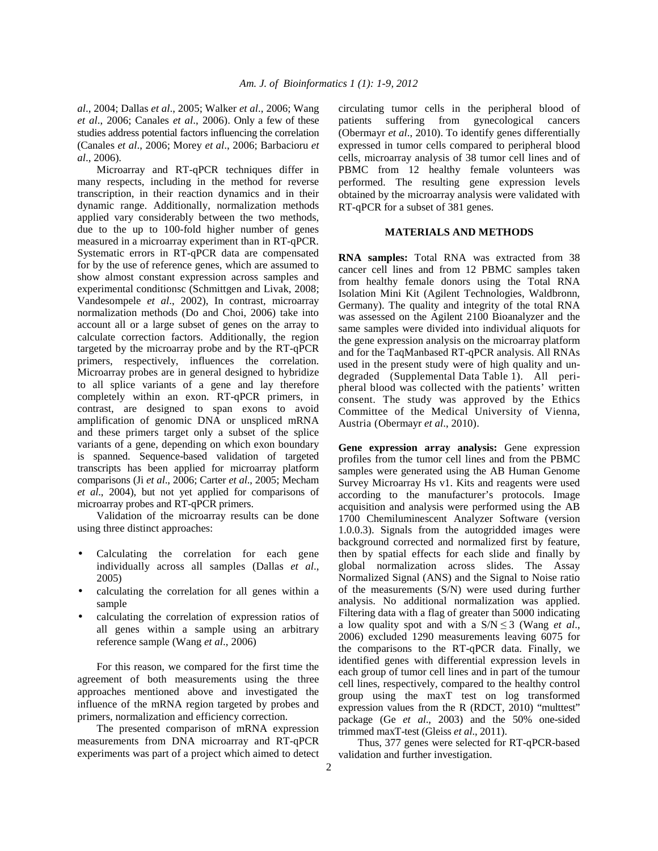*al*., 2004; Dallas *et al*., 2005; Walker *et al*., 2006; Wang *et al*., 2006; Canales *et al*., 2006). Only a few of these studies address potential factors influencing the correlation (Canales *et al*., 2006; Morey *et al*., 2006; Barbacioru *et al*., 2006).

 Microarray and RT-qPCR techniques differ in many respects, including in the method for reverse transcription, in their reaction dynamics and in their dynamic range. Additionally, normalization methods applied vary considerably between the two methods, due to the up to 100-fold higher number of genes measured in a microarray experiment than in RT-qPCR. Systematic errors in RT-qPCR data are compensated for by the use of reference genes, which are assumed to show almost constant expression across samples and experimental conditionsc (Schmittgen and Livak, 2008; Vandesompele *et al*., 2002), In contrast, microarray normalization methods (Do and Choi, 2006) take into account all or a large subset of genes on the array to calculate correction factors. Additionally, the region targeted by the microarray probe and by the RT-qPCR primers, respectively, influences the correlation. Microarray probes are in general designed to hybridize to all splice variants of a gene and lay therefore completely within an exon. RT-qPCR primers, in contrast, are designed to span exons to avoid amplification of genomic DNA or unspliced mRNA and these primers target only a subset of the splice variants of a gene, depending on which exon boundary is spanned. Sequence-based validation of targeted transcripts has been applied for microarray platform comparisons (Ji *et al*., 2006; Carter *et al*., 2005; Mecham *et al*., 2004), but not yet applied for comparisons of microarray probes and RT-qPCR primers.

 Validation of the microarray results can be done using three distinct approaches:

- Calculating the correlation for each gene individually across all samples (Dallas *et al*., 2005)
- calculating the correlation for all genes within a sample
- calculating the correlation of expression ratios of all genes within a sample using an arbitrary reference sample (Wang *et al*., 2006)

 For this reason, we compared for the first time the agreement of both measurements using the three approaches mentioned above and investigated the influence of the mRNA region targeted by probes and primers, normalization and efficiency correction.

 The presented comparison of mRNA expression measurements from DNA microarray and RT-qPCR experiments was part of a project which aimed to detect

circulating tumor cells in the peripheral blood of patients suffering from gynecological cancers (Obermayr *et al*., 2010). To identify genes differentially expressed in tumor cells compared to peripheral blood cells, microarray analysis of 38 tumor cell lines and of PBMC from 12 healthy female volunteers was performed. The resulting gene expression levels obtained by the microarray analysis were validated with RT-qPCR for a subset of 381 genes.

# **MATERIALS AND METHODS**

**RNA samples:** Total RNA was extracted from 38 cancer cell lines and from 12 PBMC samples taken from healthy female donors using the Total RNA Isolation Mini Kit (Agilent Technologies, Waldbronn, Germany). The quality and integrity of the total RNA was assessed on the Agilent 2100 Bioanalyzer and the same samples were divided into individual aliquots for the gene expression analysis on the microarray platform and for the TaqManbased RT-qPCR analysis. All RNAs used in the present study were of high quality and undegraded (Supplemental Data Table 1). All peripheral blood was collected with the patients' written consent. The study was approved by the Ethics Committee of the Medical University of Vienna, Austria (Obermayr *et al*., 2010).

**Gene expression array analysis:** Gene expression profiles from the tumor cell lines and from the PBMC samples were generated using the AB Human Genome Survey Microarray Hs v1. Kits and reagents were used according to the manufacturer's protocols. Image acquisition and analysis were performed using the AB 1700 Chemiluminescent Analyzer Software (version 1.0.0.3). Signals from the autogridded images were background corrected and normalized first by feature, then by spatial effects for each slide and finally by global normalization across slides. The Assay Normalized Signal (ANS) and the Signal to Noise ratio of the measurements (S/N) were used during further analysis. No additional normalization was applied. Filtering data with a flag of greater than 5000 indicating a low quality spot and with a  $S/N \leq 3$  (Wang *et al.*, 2006) excluded 1290 measurements leaving 6075 for the comparisons to the RT-qPCR data. Finally, we identified genes with differential expression levels in each group of tumor cell lines and in part of the tumour cell lines, respectively, compared to the healthy control group using the maxT test on log transformed expression values from the R (RDCT, 2010) "multtest" package (Ge *et al*., 2003) and the 50% one-sided trimmed maxT-test (Gleiss *et al*., 2011).

 Thus, 377 genes were selected for RT-qPCR-based validation and further investigation.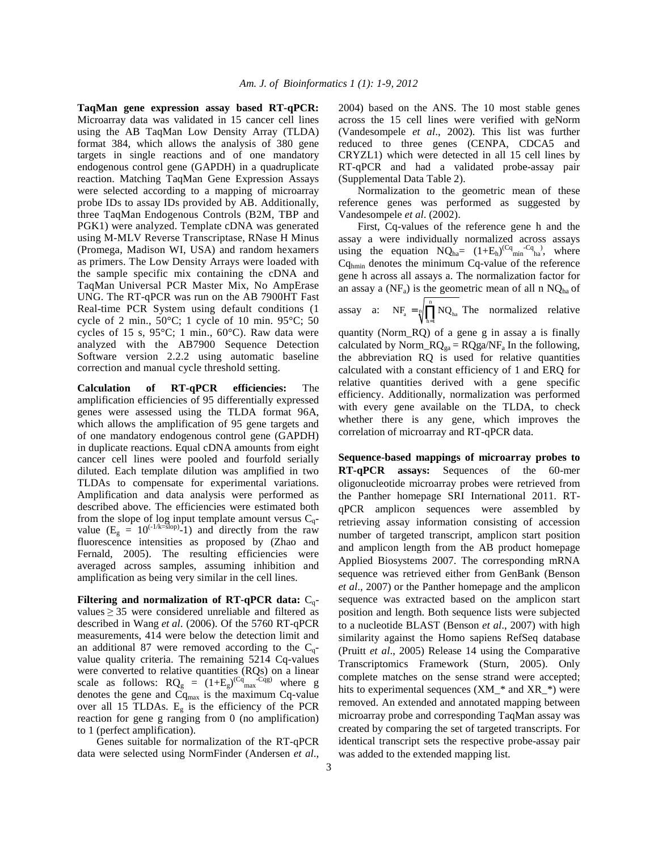**TaqMan gene expression assay based RT-qPCR:**  Microarray data was validated in 15 cancer cell lines using the AB TaqMan Low Density Array (TLDA) format 384, which allows the analysis of 380 gene targets in single reactions and of one mandatory endogenous control gene (GAPDH) in a quadruplicate reaction. Matching TaqMan Gene Expression Assays were selected according to a mapping of microarray probe IDs to assay IDs provided by AB. Additionally, three TaqMan Endogenous Controls (B2M, TBP and PGK1) were analyzed. Template cDNA was generated using M-MLV Reverse Transcriptase, RNase H Minus (Promega, Madison WI, USA) and random hexamers as primers. The Low Density Arrays were loaded with the sample specific mix containing the cDNA and TaqMan Universal PCR Master Mix, No AmpErase UNG. The RT-qPCR was run on the AB 7900HT Fast Real-time PCR System using default conditions (1 cycle of 2 min.,  $50^{\circ}$ C; 1 cycle of 10 min.  $95^{\circ}$ C; 50 cycles of 15 s,  $95^{\circ}$ C; 1 min.,  $60^{\circ}$ C). Raw data were analyzed with the AB7900 Sequence Detection Software version 2.2.2 using automatic baseline correction and manual cycle threshold setting.

**Calculation of RT-qPCR efficiencies:** The amplification efficiencies of 95 differentially expressed genes were assessed using the TLDA format 96A, which allows the amplification of 95 gene targets and of one mandatory endogenous control gene (GAPDH) in duplicate reactions. Equal cDNA amounts from eight cancer cell lines were pooled and fourfold serially diluted. Each template dilution was amplified in two TLDAs to compensate for experimental variations. Amplification and data analysis were performed as described above. The efficiencies were estimated both from the slope of log input template amount versus  $C_q$ value  $(E_g = 10^{(-1/k=5\text{lop})} - 1)$  and directly from the raw fluorescence intensities as proposed by (Zhao and Fernald, 2005). The resulting efficiencies were averaged across samples, assuming inhibition and amplification as being very similar in the cell lines.

**Filtering and normalization of RT-qPCR data:** Cqvalues  $\geq$  35 were considered unreliable and filtered as described in Wang *et al*. (2006). Of the 5760 RT-qPCR measurements, 414 were below the detection limit and an additional 87 were removed according to the  $C_q$ value quality criteria. The remaining 5214 Cq-values were converted to relative quantities (RQs) on a linear scale as follows:  $RQ_g = (1 + E_g)^{(Cq)}_{max}^{Cqg}$  where g denotes the gene and  $\tilde{C}_{q_{max}}$  is the maximum Cq-value over all 15 TLDAs.  $E<sub>g</sub>$  is the efficiency of the PCR reaction for gene g ranging from 0 (no amplification) to 1 (perfect amplification).

 Genes suitable for normalization of the RT-qPCR data were selected using NormFinder (Andersen *et al*., 2004) based on the ANS. The 10 most stable genes across the 15 cell lines were verified with geNorm (Vandesompele *et al*., 2002). This list was further reduced to three genes (CENPA, CDCA5 and CRYZL1) which were detected in all 15 cell lines by RT-qPCR and had a validated probe-assay pair (Supplemental Data Table 2).

 Normalization to the geometric mean of these reference genes was performed as suggested by Vandesompele *et al*. (2002).

 First, Cq-values of the reference gene h and the assay a were individually normalized across assays using the equation  $NQ_{ha} = (1 + E_h)^{(Cq_{min} - Cq_{ni})}$ , where Cqhmin denotes the minimum Cq-value of the reference gene h across all assays a. The normalization factor for an assay a  $(NF_a)$  is the geometric mean of all n  $NQ_{ha}$  of n

assay a:  $NF_a = \sqrt[n]{\prod_{h=1} NQ_{ha}}$  The normalized relative

quantity (Norm\_RQ) of a gene g in assay a is finally calculated by Norm\_ $RQ_{ga} = RQga/NF_a$  In the following, the abbreviation RQ is used for relative quantities calculated with a constant efficiency of 1 and ERQ for relative quantities derived with a gene specific efficiency. Additionally, normalization was performed with every gene available on the TLDA, to check whether there is any gene, which improves the correlation of microarray and RT-qPCR data.

**Sequence-based mappings of microarray probes to RT-qPCR assays:** Sequences of the 60-mer oligonucleotide microarray probes were retrieved from the Panther homepage SRI International 2011. RTqPCR amplicon sequences were assembled by retrieving assay information consisting of accession number of targeted transcript, amplicon start position and amplicon length from the AB product homepage Applied Biosystems 2007. The corresponding mRNA sequence was retrieved either from GenBank (Benson *et al*., 2007) or the Panther homepage and the amplicon sequence was extracted based on the amplicon start position and length. Both sequence lists were subjected to a nucleotide BLAST (Benson *et al*., 2007) with high similarity against the Homo sapiens RefSeq database (Pruitt *et al*., 2005) Release 14 using the Comparative Transcriptomics Framework (Sturn, 2005). Only complete matches on the sense strand were accepted; hits to experimental sequences (XM\_\* and XR\_\*) were removed. An extended and annotated mapping between microarray probe and corresponding TaqMan assay was created by comparing the set of targeted transcripts. For identical transcript sets the respective probe-assay pair was added to the extended mapping list.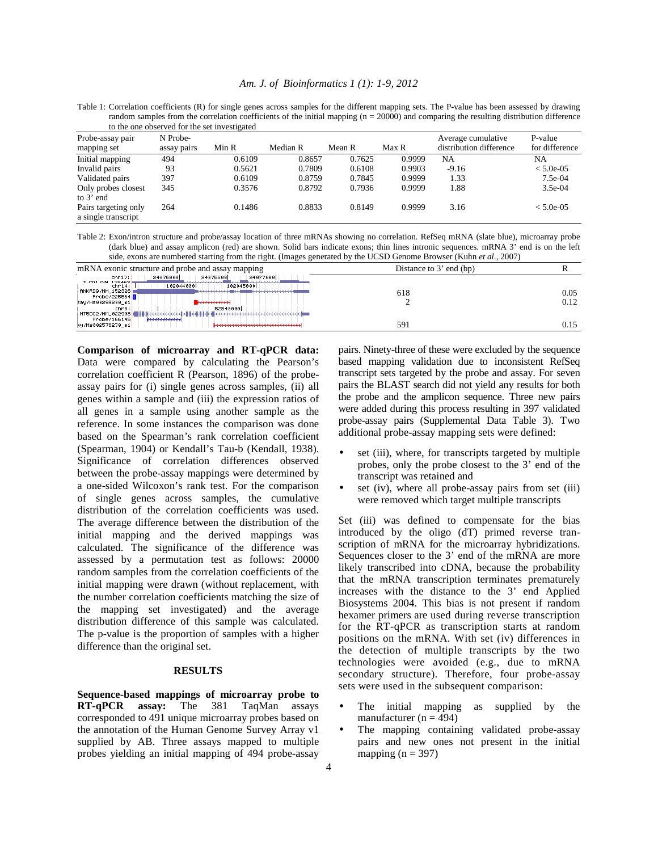#### *Am. J. of Bioinformatics 1 (1): 1-9, 2012*

Table 1: Correlation coefficients (R) for single genes across samples for the different mapping sets. The P-value has been assessed by drawing random samples from the correlation coefficients of the initial mapping  $(n = 20000)$  and comparing the resulting distribution difference to the one observed for the set investigated

| Probe-assay pair<br>mapping set             | N Probe-<br>assay pairs | Min R  | Median R | Mean R | Max R  | Average cumulative<br>distribution difference | P-value<br>for difference |
|---------------------------------------------|-------------------------|--------|----------|--------|--------|-----------------------------------------------|---------------------------|
| Initial mapping                             | 494                     | 0.6109 | 0.8657   | 0.7625 | 0.9999 | NA                                            | NA                        |
| Invalid pairs                               | 93                      | 0.5621 | 0.7809   | 0.6108 | 0.9903 | $-9.16$                                       | $< 5.0e-0.5$              |
| Validated pairs                             | 397                     | 0.6109 | 0.8759   | 0.7845 | 0.9999 | 1.33                                          | 7.5e-04                   |
| Only probes closest<br>to $3'$ end          | 345                     | 0.3576 | 0.8792   | 0.7936 | 0.9999 | 1.88                                          | $3.5e-04$                 |
| Pairs targeting only<br>a single transcript | 264                     | 0.1486 | 0.8833   | 0.8149 | 0.9999 | 3.16                                          | $< 5.0e-0.5$              |

Table 2: Exon/intron structure and probe/assay location of three mRNAs showing no correlation. RefSeq mRNA (slate blue), microarray probe (dark blue) and assay amplicon (red) are shown. Solid bars indicate exons; thin lines intronic sequences. mRNA 3' end is on the left side, exons are numbered starting from the right. (Images generated by the UCSD Genome Browser (Kuhn *et al*., 2007)

| mRNA exonic structure and probe and assay mapping                                                                                                                                                 | Distance to 3' end (bp) |              |
|---------------------------------------------------------------------------------------------------------------------------------------------------------------------------------------------------|-------------------------|--------------|
| 24077000<br>24076000<br>24076500<br>$chr17$ :<br>TLCD1 /NM 138463<br><u>.</u><br>102045000<br>102044000<br>$chr14$ :<br>ANKRD9/NM_152326<br>Probe/225564 3<br>$\blacksquare$<br>say/Hs00299200_m1 | 618                     | 0.05<br>0.12 |
| 52540000<br>chr3:<br>  NT5DC2/NM_022908   <del>           </del><br>Probe/166145<br>keeleetteettel<br>Hy/Hs002576270_m1                                                                           | 591                     | 0.15         |

**Comparison of microarray and RT-qPCR data:**  Data were compared by calculating the Pearson's correlation coefficient R (Pearson, 1896) of the probeassay pairs for (i) single genes across samples, (ii) all genes within a sample and (iii) the expression ratios of all genes in a sample using another sample as the reference. In some instances the comparison was done based on the Spearman's rank correlation coefficient (Spearman, 1904) or Kendall's Tau-b (Kendall, 1938). Significance of correlation differences observed between the probe-assay mappings were determined by a one-sided Wilcoxon's rank test. For the comparison of single genes across samples, the cumulative distribution of the correlation coefficients was used. The average difference between the distribution of the initial mapping and the derived mappings was calculated. The significance of the difference was assessed by a permutation test as follows: 20000 random samples from the correlation coefficients of the initial mapping were drawn (without replacement, with the number correlation coefficients matching the size of the mapping set investigated) and the average distribution difference of this sample was calculated. The p-value is the proportion of samples with a higher difference than the original set.

## **RESULTS**

**Sequence-based mappings of microarray probe to RT-qPCR assay:** The 381 TaqMan assays corresponded to 491 unique microarray probes based on the annotation of the Human Genome Survey Array v1 supplied by AB. Three assays mapped to multiple probes yielding an initial mapping of 494 probe-assay

pairs. Ninety-three of these were excluded by the sequence based mapping validation due to inconsistent RefSeq transcript sets targeted by the probe and assay. For seven pairs the BLAST search did not yield any results for both the probe and the amplicon sequence. Three new pairs were added during this process resulting in 397 validated probe-assay pairs (Supplemental Data Table 3). Two additional probe-assay mapping sets were defined:

- set (iii), where, for transcripts targeted by multiple probes, only the probe closest to the 3' end of the transcript was retained and
- set (iv), where all probe-assay pairs from set (iii) were removed which target multiple transcripts

Set (iii) was defined to compensate for the bias introduced by the oligo (dT) primed reverse transcription of mRNA for the microarray hybridizations. Sequences closer to the 3' end of the mRNA are more likely transcribed into cDNA, because the probability that the mRNA transcription terminates prematurely increases with the distance to the 3' end Applied Biosystems 2004. This bias is not present if random hexamer primers are used during reverse transcription for the RT-qPCR as transcription starts at random positions on the mRNA. With set (iv) differences in the detection of multiple transcripts by the two technologies were avoided (e.g., due to mRNA secondary structure). Therefore, four probe-assay sets were used in the subsequent comparison:

- The initial mapping as supplied by the manufacturer ( $n = 494$ )
- The mapping containing validated probe-assay pairs and new ones not present in the initial mapping  $(n = 397)$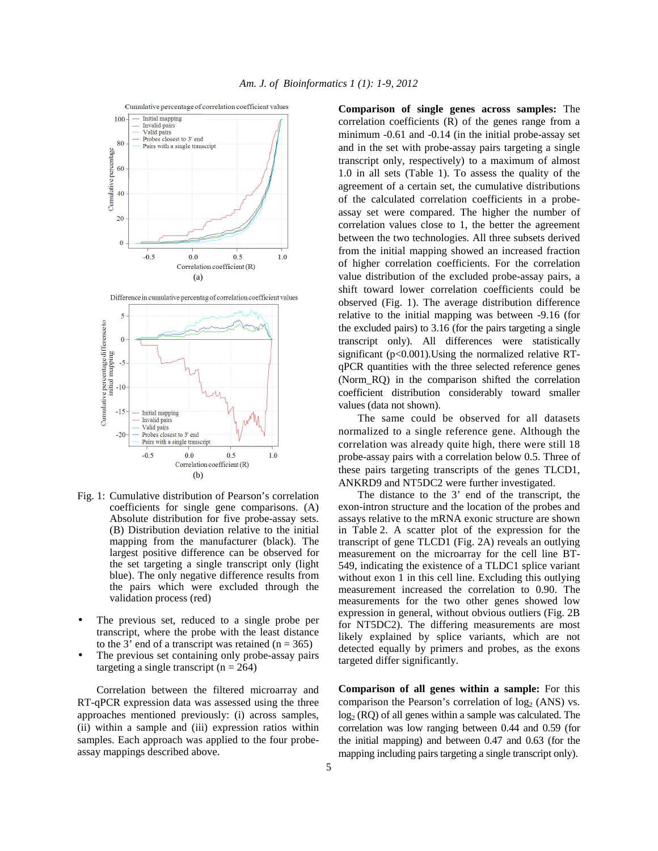

- Fig. 1: Cumulative distribution of Pearson's correlation coefficients for single gene comparisons. (A) Absolute distribution for five probe-assay sets. (B) Distribution deviation relative to the initial mapping from the manufacturer (black). The largest positive difference can be observed for the set targeting a single transcript only (light blue). The only negative difference results from the pairs which were excluded through the validation process (red)
- The previous set, reduced to a single probe per transcript, where the probe with the least distance to the 3' end of a transcript was retained  $(n = 365)$
- The previous set containing only probe-assay pairs targeting a single transcript  $(n = 264)$

 Correlation between the filtered microarray and RT-qPCR expression data was assessed using the three approaches mentioned previously: (i) across samples, (ii) within a sample and (iii) expression ratios within samples. Each approach was applied to the four probeassay mappings described above.

**Comparison of single genes across samples:** The correlation coefficients (R) of the genes range from a minimum -0.61 and -0.14 (in the initial probe-assay set and in the set with probe-assay pairs targeting a single transcript only, respectively) to a maximum of almost 1.0 in all sets (Table 1). To assess the quality of the agreement of a certain set, the cumulative distributions of the calculated correlation coefficients in a probeassay set were compared. The higher the number of correlation values close to 1, the better the agreement between the two technologies. All three subsets derived from the initial mapping showed an increased fraction of higher correlation coefficients. For the correlation value distribution of the excluded probe-assay pairs, a shift toward lower correlation coefficients could be observed (Fig. 1). The average distribution difference relative to the initial mapping was between -9.16 (for the excluded pairs) to 3.16 (for the pairs targeting a single transcript only). All differences were statistically significant (p<0.001). Using the normalized relative RTqPCR quantities with the three selected reference genes (Norm\_RQ) in the comparison shifted the correlation coefficient distribution considerably toward smaller values (data not shown).

 The same could be observed for all datasets normalized to a single reference gene. Although the correlation was already quite high, there were still 18 probe-assay pairs with a correlation below 0.5. Three of these pairs targeting transcripts of the genes TLCD1, ANKRD9 and NT5DC2 were further investigated.

 The distance to the 3' end of the transcript, the exon-intron structure and the location of the probes and assays relative to the mRNA exonic structure are shown in Table 2. A scatter plot of the expression for the transcript of gene TLCD1 (Fig. 2A) reveals an outlying measurement on the microarray for the cell line BT-549, indicating the existence of a TLDC1 splice variant without exon 1 in this cell line. Excluding this outlying measurement increased the correlation to 0.90. The measurements for the two other genes showed low expression in general, without obvious outliers (Fig. 2B for NT5DC2). The differing measurements are most likely explained by splice variants, which are not detected equally by primers and probes, as the exons targeted differ significantly.

**Comparison of all genes within a sample:** For this comparison the Pearson's correlation of  $log<sub>2</sub>$  (ANS) vs. log<sub>2</sub> (RQ) of all genes within a sample was calculated. The correlation was low ranging between 0.44 and 0.59 (for the initial mapping) and between 0.47 and 0.63 (for the mapping including pairs targeting a single transcript only).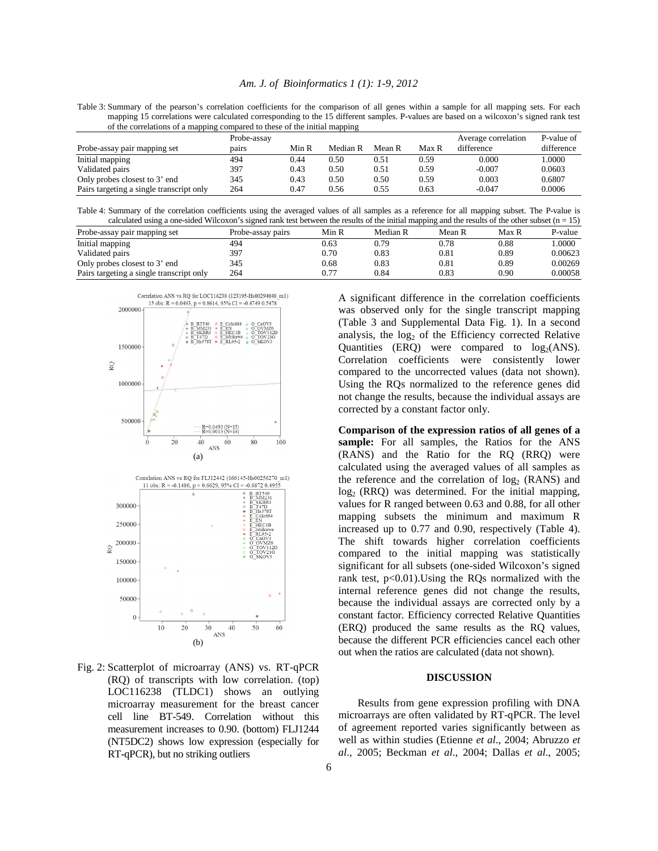|  | Am. J. of Bioinformatics 1 (1): 1-9, 2012 |  |  |
|--|-------------------------------------------|--|--|
|  |                                           |  |  |

Table 3: Summary of the pearson's correlation coefficients for the comparison of all genes within a sample for all mapping sets. For each mapping 15 correlations were calculated corresponding to the 15 different samples. P-values are based on a wilcoxon's signed rank test of the correlations of a mapping compared to these of the initial mapping

| . .                                      |             |       | . .      |        |              |                     |            |
|------------------------------------------|-------------|-------|----------|--------|--------------|---------------------|------------|
|                                          | Probe-assay |       |          |        |              | Average correlation | P-value of |
| Probe-assay pair mapping set             | pairs       | Min R | Median R | Mean R | <b>Max R</b> | difference          | difference |
| Initial mapping                          | 494         | 0.44  | 0.50     | 0.51   | 0.59         | 0.000               | 1.0000     |
| Validated pairs                          | 397         | 0.43  | 0.50     | 0.51   | 0.59         | $-0.007$            | 0.0603     |
| Only probes closest to 3' end            | 345         | 0.43  | 0.50     | 0.50   | 0.59         | 0.003               | 0.6807     |
| Pairs targeting a single transcript only | 264         | 0.47  | 0.56     | 0.55   | 0.63         | $-0.047$            | 0.0006     |
|                                          |             |       |          |        |              |                     |            |

| Table 4: Summary of the correlation coefficients using the averaged values of all samples as a reference for all mapping subset. The P-value is    |  |  |  |
|----------------------------------------------------------------------------------------------------------------------------------------------------|--|--|--|
| calculated using a one-sided Wilcoxon's signed rank test between the results of the initial mapping and the results of the other subset $(n = 15)$ |  |  |  |

|                                          |                   |       |          | .      |       |         |
|------------------------------------------|-------------------|-------|----------|--------|-------|---------|
| Probe-assay pair mapping set             | Probe-assay pairs | Min R | Median R | Mean R | Max R | P-value |
| Initial mapping                          | 494               | 0.63  | 0.79     | 0.78   | 0.88  | .0000   |
| Validated pairs                          | 397               | 0.70  | 0.83     | 0.81   | 0.89  | 0.00623 |
| Only probes closest to 3' end            | 345               | 0.68  | 0.83     | 0.81   | 0.89  | 0.00269 |
| Pairs targeting a single transcript only | 264               | 0.77  | 0.84     | 0.83   | 0.90  | 0.00058 |



Fig. 2: Scatterplot of microarray (ANS) vs. RT-qPCR (RQ) of transcripts with low correlation. (top) LOC116238 (TLDC1) shows an outlying microarray measurement for the breast cancer cell line BT-549. Correlation without this measurement increases to 0.90. (bottom) FLJ1244 (NT5DC2) shows low expression (especially for RT-qPCR), but no striking outliers

A significant difference in the correlation coefficients was observed only for the single transcript mapping (Table 3 and Supplemental Data Fig. 1). In a second analysis, the  $log<sub>2</sub>$  of the Efficiency corrected Relative Quantities (ERQ) were compared to  $log<sub>2</sub>(ANS)$ . Correlation coefficients were consistently lower compared to the uncorrected values (data not shown). Using the RQs normalized to the reference genes did not change the results, because the individual assays are corrected by a constant factor only.

**Comparison of the expression ratios of all genes of a**  sample: For all samples, the Ratios for the ANS (RANS) and the Ratio for the RQ (RRQ) were calculated using the averaged values of all samples as the reference and the correlation of  $log<sub>2</sub>$  (RANS) and  $log<sub>2</sub>$  (RRQ) was determined. For the initial mapping, values for R ranged between 0.63 and 0.88, for all other mapping subsets the minimum and maximum R increased up to 0.77 and 0.90, respectively (Table 4). The shift towards higher correlation coefficients compared to the initial mapping was statistically significant for all subsets (one-sided Wilcoxon's signed rank test,  $p<0.01$ ). Using the RQs normalized with the internal reference genes did not change the results, because the individual assays are corrected only by a constant factor. Efficiency corrected Relative Quantities (ERQ) produced the same results as the RQ values, because the different PCR efficiencies cancel each other out when the ratios are calculated (data not shown).

#### **DISCUSSION**

 Results from gene expression profiling with DNA microarrays are often validated by RT-qPCR. The level of agreement reported varies significantly between as well as within studies (Etienne *et al*., 2004; Abruzzo *et al*., 2005; Beckman *et al*., 2004; Dallas *et al*., 2005;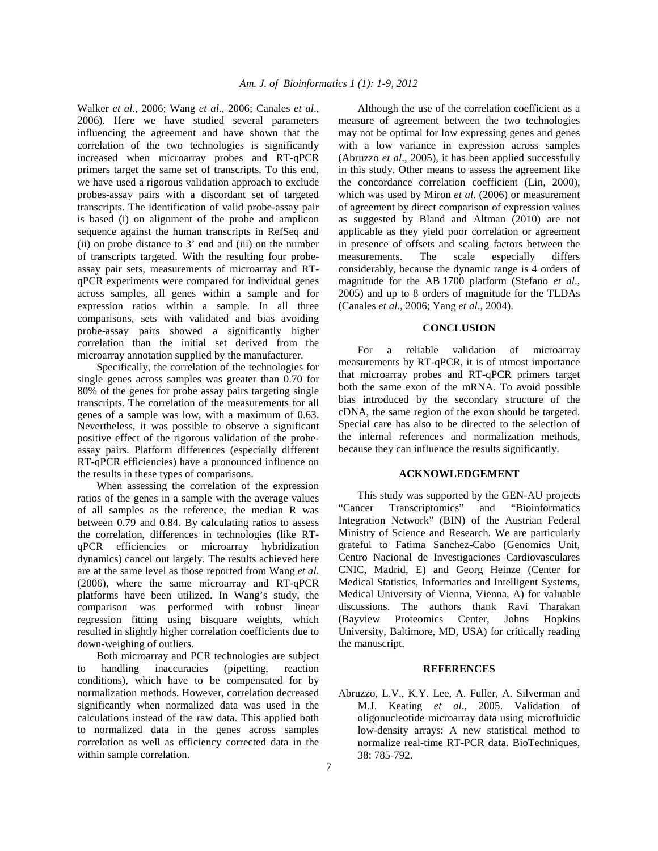Walker *et al*., 2006; Wang *et al*., 2006; Canales *et al*., 2006). Here we have studied several parameters influencing the agreement and have shown that the correlation of the two technologies is significantly increased when microarray probes and RT-qPCR primers target the same set of transcripts. To this end, we have used a rigorous validation approach to exclude probes-assay pairs with a discordant set of targeted transcripts. The identification of valid probe-assay pair is based (i) on alignment of the probe and amplicon sequence against the human transcripts in RefSeq and (ii) on probe distance to  $3'$  end and (iii) on the number of transcripts targeted. With the resulting four probeassay pair sets, measurements of microarray and RTqPCR experiments were compared for individual genes across samples, all genes within a sample and for expression ratios within a sample. In all three comparisons, sets with validated and bias avoiding probe-assay pairs showed a significantly higher correlation than the initial set derived from the microarray annotation supplied by the manufacturer.

 Specifically, the correlation of the technologies for single genes across samples was greater than 0.70 for 80% of the genes for probe assay pairs targeting single transcripts. The correlation of the measurements for all genes of a sample was low, with a maximum of 0.63. Nevertheless, it was possible to observe a significant positive effect of the rigorous validation of the probeassay pairs. Platform differences (especially different RT-qPCR efficiencies) have a pronounced influence on the results in these types of comparisons.

 When assessing the correlation of the expression ratios of the genes in a sample with the average values of all samples as the reference, the median R was between 0.79 and 0.84. By calculating ratios to assess the correlation, differences in technologies (like RTqPCR efficiencies or microarray hybridization dynamics) cancel out largely. The results achieved here are at the same level as those reported from Wang *et al*. (2006), where the same microarray and RT-qPCR platforms have been utilized. In Wang's study, the comparison was performed with robust linear regression fitting using bisquare weights, which resulted in slightly higher correlation coefficients due to down-weighing of outliers.

 Both microarray and PCR technologies are subject to handling inaccuracies (pipetting, reaction conditions), which have to be compensated for by normalization methods. However, correlation decreased significantly when normalized data was used in the calculations instead of the raw data. This applied both to normalized data in the genes across samples correlation as well as efficiency corrected data in the within sample correlation.

 Although the use of the correlation coefficient as a measure of agreement between the two technologies may not be optimal for low expressing genes and genes with a low variance in expression across samples (Abruzzo *et al*., 2005), it has been applied successfully in this study. Other means to assess the agreement like the concordance correlation coefficient (Lin, 2000), which was used by Miron *et al*. (2006) or measurement of agreement by direct comparison of expression values as suggested by Bland and Altman (2010) are not applicable as they yield poor correlation or agreement in presence of offsets and scaling factors between the measurements. The scale especially differs considerably, because the dynamic range is 4 orders of magnitude for the AB 1700 platform (Stefano *et al*., 2005) and up to 8 orders of magnitude for the TLDAs (Canales *et al*., 2006; Yang *et al*., 2004).

## **CONCLUSION**

 For a reliable validation of microarray measurements by RT-qPCR, it is of utmost importance that microarray probes and RT-qPCR primers target both the same exon of the mRNA. To avoid possible bias introduced by the secondary structure of the cDNA, the same region of the exon should be targeted. Special care has also to be directed to the selection of the internal references and normalization methods, because they can influence the results significantly.

#### **ACKNOWLEDGEMENT**

 This study was supported by the GEN-AU projects "Cancer Transcriptomics" and "Bioinformatics Integration Network" (BIN) of the Austrian Federal Ministry of Science and Research. We are particularly grateful to Fatima Sanchez-Cabo (Genomics Unit, Centro Nacional de Investigaciones Cardiovasculares CNIC, Madrid, E) and Georg Heinze (Center for Medical Statistics, Informatics and Intelligent Systems, Medical University of Vienna, Vienna, A) for valuable discussions. The authors thank Ravi Tharakan (Bayview Proteomics Center, Johns Hopkins University, Baltimore, MD, USA) for critically reading the manuscript.

#### **REFERENCES**

Abruzzo, L.V., K.Y. Lee, A. Fuller, A. Silverman and M.J. Keating *et al*., 2005. Validation of oligonucleotide microarray data using microfluidic low-density arrays: A new statistical method to normalize real-time RT-PCR data. BioTechniques, 38: 785-792.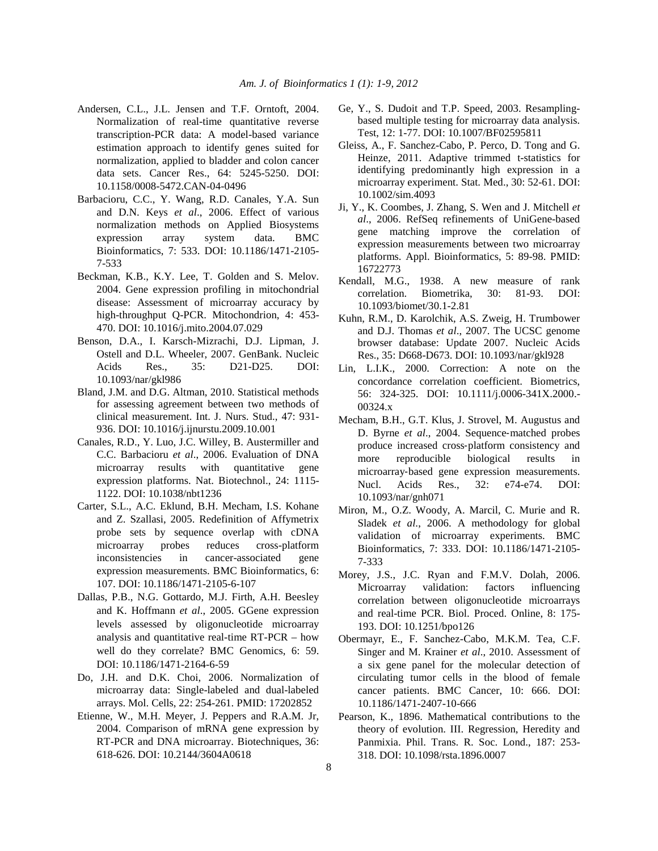- Andersen, C.L., J.L. Jensen and T.F. Orntoft, 2004. Normalization of real-time quantitative reverse transcription-PCR data: A model-based variance estimation approach to identify genes suited for normalization, applied to bladder and colon cancer data sets. Cancer Res., 64: 5245-5250. DOI: 10.1158/0008-5472.CAN-04-0496
- Barbacioru, C.C., Y. Wang, R.D. Canales, Y.A. Sun and D.N. Keys *et al*., 2006. Effect of various normalization methods on Applied Biosystems expression array system data. BMC Bioinformatics, 7: 533. DOI: 10.1186/1471-2105- 7-533
- Beckman, K.B., K.Y. Lee, T. Golden and S. Melov. 2004. Gene expression profiling in mitochondrial disease: Assessment of microarray accuracy by high-throughput Q-PCR. Mitochondrion, 4: 453- 470. DOI: 10.1016/j.mito.2004.07.029
- Benson, D.A., I. Karsch-Mizrachi, D.J. Lipman, J. Ostell and D.L. Wheeler, 2007. GenBank. Nucleic Acids Res., 35: D21-D25. DOI: 10.1093/nar/gkl986
- Bland, J.M. and D.G. Altman, 2010. Statistical methods for assessing agreement between two methods of clinical measurement. Int. J. Nurs. Stud., 47: 931- 936. DOI: 10.1016/j.ijnurstu.2009.10.001
- Canales, R.D., Y. Luo, J.C. Willey, B. Austermiller and C.C. Barbacioru *et al*., 2006. Evaluation of DNA microarray results with quantitative gene expression platforms. Nat. Biotechnol., 24: 1115- 1122. DOI: 10.1038/nbt1236
- Carter, S.L., A.C. Eklund, B.H. Mecham, I.S. Kohane and Z. Szallasi, 2005. Redefinition of Affymetrix probe sets by sequence overlap with cDNA microarray probes reduces cross-platform inconsistencies in cancer-associated gene expression measurements. BMC Bioinformatics, 6: 107. DOI: 10.1186/1471-2105-6-107
- Dallas, P.B., N.G. Gottardo, M.J. Firth, A.H. Beesley and K. Hoffmann *et al*., 2005. GGene expression levels assessed by oligonucleotide microarray analysis and quantitative real-time RT-PCR – how well do they correlate? BMC Genomics, 6: 59. DOI: 10.1186/1471-2164-6-59
- Do, J.H. and D.K. Choi, 2006. Normalization of microarray data: Single-labeled and dual-labeled arrays. Mol. Cells, 22: 254-261. PMID: 17202852
- Etienne, W., M.H. Meyer, J. Peppers and R.A.M. Jr, 2004. Comparison of mRNA gene expression by RT-PCR and DNA microarray. Biotechniques, 36: 618-626. DOI: 10.2144/3604A0618
- Ge, Y., S. Dudoit and T.P. Speed, 2003. Resamplingbased multiple testing for microarray data analysis. Test, 12: 1-77. DOI: 10.1007/BF02595811
- Gleiss, A., F. Sanchez-Cabo, P. Perco, D. Tong and G. Heinze, 2011. Adaptive trimmed t-statistics for identifying predominantly high expression in a microarray experiment. Stat. Med., 30: 52-61. DOI: 10.1002/sim.4093
- Ji, Y., K. Coombes, J. Zhang, S. Wen and J. Mitchell *et al*., 2006. RefSeq refinements of UniGene-based gene matching improve the correlation of expression measurements between two microarray platforms. Appl. Bioinformatics, 5: 89-98. PMID: 16722773
- Kendall, M.G., 1938. A new measure of rank correlation. Biometrika, 30: 81-93. DOI: 10.1093/biomet/30.1-2.81
- Kuhn, R.M., D. Karolchik, A.S. Zweig, H. Trumbower and D.J. Thomas *et al*., 2007. The UCSC genome browser database: Update 2007. Nucleic Acids Res., 35: D668-D673. DOI: 10.1093/nar/gkl928
- Lin, L.I.K., 2000. Correction: A note on the concordance correlation coefficient. Biometrics, 56: 324-325. DOI: 10.1111/j.0006-341X.2000.- 00324.x
- Mecham, B.H., G.T. Klus, J. Strovel, M. Augustus and D. Byrne *et al.*, 2004. Sequence-matched probes produce increased cross‐platform consistency and more reproducible biological results in microarray‐based gene expression measurements. Nucl. Acids Res., 32: e74-e74. DOI: 10.1093/nar/gnh071
- Miron, M., O.Z. Woody, A. Marcil, C. Murie and R. Sladek *et al*., 2006. A methodology for global validation of microarray experiments. BMC Bioinformatics, 7: 333. DOI: 10.1186/1471-2105- 7-333
- Morey, J.S., J.C. Ryan and F.M.V. Dolah, 2006. Microarray validation: factors influencing correlation between oligonucleotide microarrays and real-time PCR. Biol. Proced. Online, 8: 175- 193. DOI: 10.1251/bpo126
- Obermayr, E., F. Sanchez-Cabo, M.K.M. Tea, C.F. Singer and M. Krainer *et al*., 2010. Assessment of a six gene panel for the molecular detection of circulating tumor cells in the blood of female cancer patients. BMC Cancer, 10: 666. DOI: 10.1186/1471-2407-10-666
- Pearson, K., 1896. Mathematical contributions to the theory of evolution. III. Regression, Heredity and Panmixia. Phil. Trans. R. Soc. Lond., 187: 253- 318. DOI: 10.1098/rsta.1896.0007